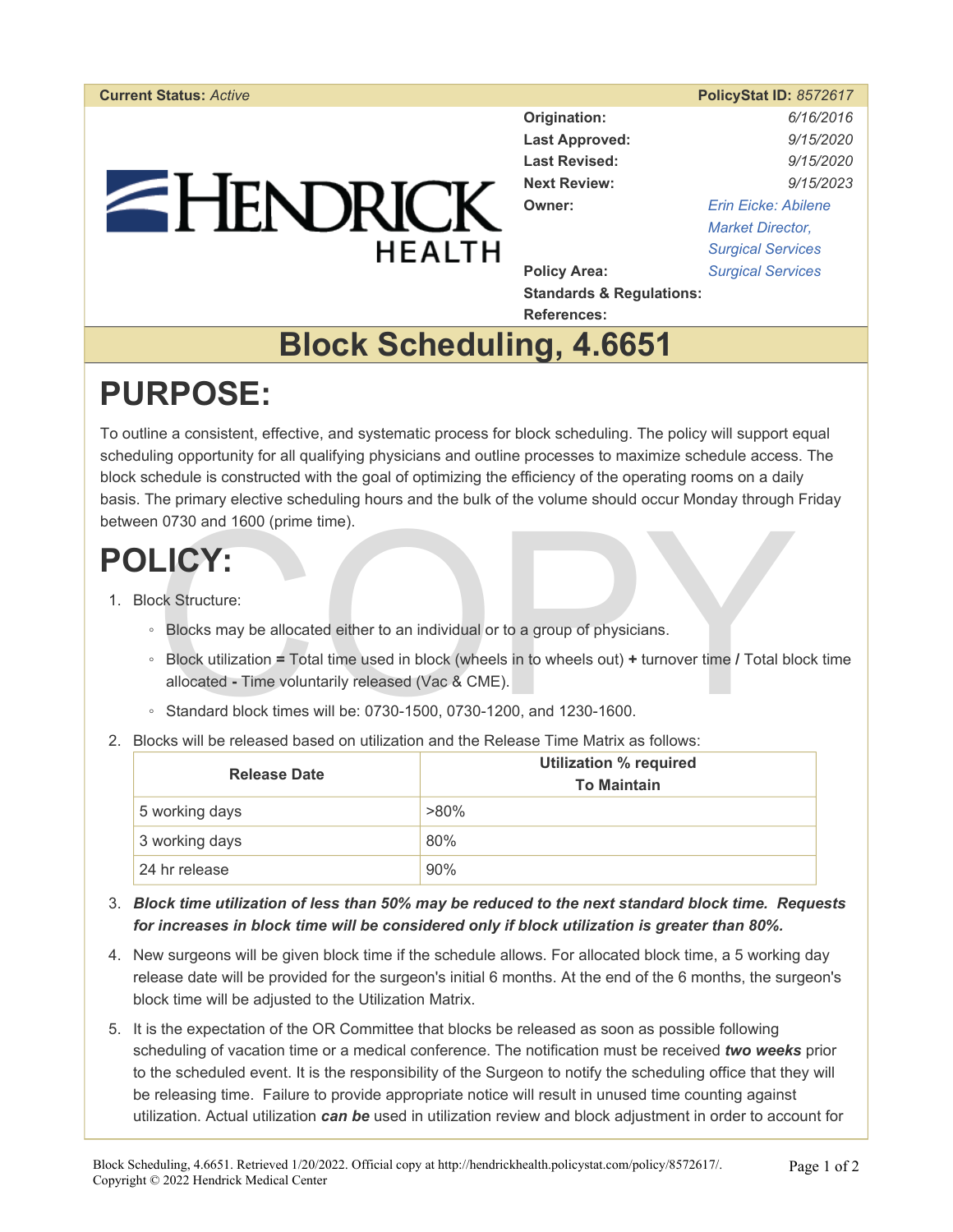# EHENDRICK **HEALTH**

|                | <b>PolicyStat ID: 8572617</b> |
|----------------|-------------------------------|
| Origination:   | 6/16/2016                     |
| Loet Annrovad: | 0/15/2020                     |

**Last Approved:** *9/15/2020*  **Last Revised:** *9/15/2020*  **Next Review:** *9/15/2023*  **Owner:** *[Erin Eicke: Abilene](https://hendrickhealth.policystat.com/policy_search/author/?search_query=&terms=5565315)  [Market Director,](https://hendrickhealth.policystat.com/policy_search/author/?search_query=&terms=5565315)  [Surgical Services](https://hendrickhealth.policystat.com/policy_search/author/?search_query=&terms=5565315)*  **Policy Area:** *[Surgical Services](https://hendrickhealth.policystat.com/policy_search/category/?search_query=&terms=46044)* 

**Standards & Regulations: References:** 

### **Block Scheduling, 4.6651**

## **PURPOSE:**

To outline a consistent, effective, and systematic process for block scheduling. The policy will support equal scheduling opportunity for all qualifying physicians and outline processes to maximize schedule access. The block schedule is constructed with the goal of optimizing the efficiency of the operating rooms on a daily basis. The primary elective scheduling hours and the bulk of the volume should occur Monday through Friday between 0730 and 1600 (prime time).

### **POLICY:**

- 1. Block Structure:
	- Blocks may be allocated either to an individual or to a group of physicians.
- 1 0730 and 1600 (prime time).<br>
LICY:<br>
Blocks may be allocated either to an individual or to a group of physicians.<br>
Block utilization = Total time used in block (wheels in to wheels out) + turnover time / Total block<br>
allo ◦ Block utilization **=** Total time used in block (wheels in to wheels out) **+** turnover time **/** Total block time allocated **-** Time voluntarily released (Vac & CME).
	- Standard block times will be: 0730-1500, 0730-1200, and 1230-1600.
- 2. Blocks will be released based on utilization and the Release Time Matrix as follows:

| <b>Release Date</b> | <b>Utilization % required</b><br><b>To Maintain</b> |
|---------------------|-----------------------------------------------------|
| 5 working days      | $>80\%$                                             |
| 3 working days      | 80%                                                 |
| 24 hr release       | 90%                                                 |

- 3. *Block time utilization of less than 50% may be reduced to the next standard block time. Requests for increases in block time will be considered only if block utilization is greater than 80%.*
- 4. New surgeons will be given block time if the schedule allows. For allocated block time, a 5 working day release date will be provided for the surgeon's initial 6 months. At the end of the 6 months, the surgeon's block time will be adjusted to the Utilization Matrix.
- 5. It is the expectation of the OR Committee that blocks be released as soon as possible following scheduling of vacation time or a medical conference. The notification must be received *two weeks* prior to the scheduled event. It is the responsibility of the Surgeon to notify the scheduling office that they will be releasing time. Failure to provide appropriate notice will result in unused time counting against utilization. Actual utilization *can be* used in utilization review and block adjustment in order to account for